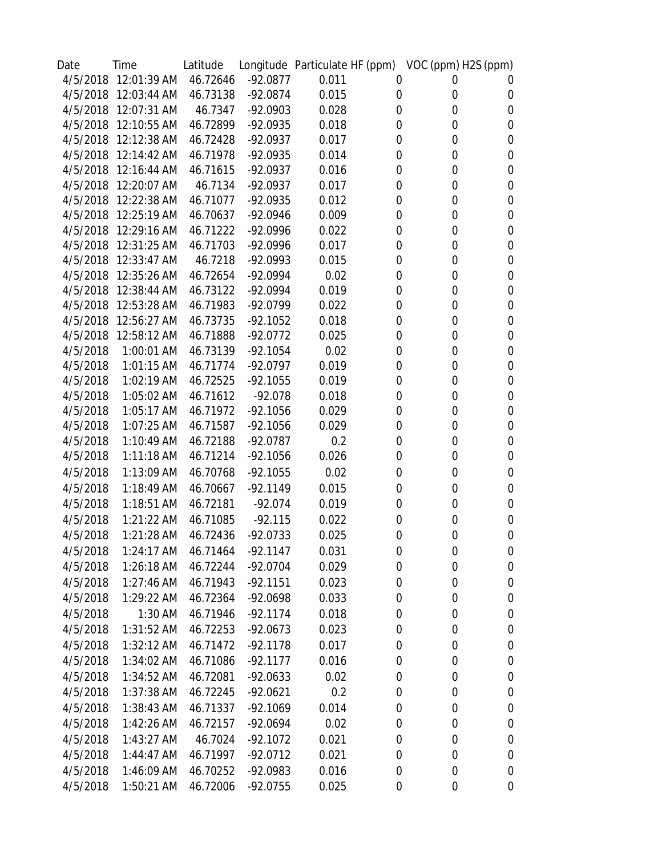| Date     | Time                 | Latitude |            | Longitude Particulate HF (ppm) VOC (ppm) H2S (ppm) |             |                  |                  |
|----------|----------------------|----------|------------|----------------------------------------------------|-------------|------------------|------------------|
|          | 4/5/2018 12:01:39 AM | 46.72646 | $-92.0877$ | 0.011                                              | 0           | 0                | U                |
| 4/5/2018 | 12:03:44 AM          | 46.73138 | $-92.0874$ | 0.015                                              | 0           | 0                | 0                |
| 4/5/2018 | 12:07:31 AM          | 46.7347  | $-92.0903$ | 0.028                                              | 0           | 0                | 0                |
| 4/5/2018 | 12:10:55 AM          | 46.72899 | $-92.0935$ | 0.018                                              | 0           | 0                | 0                |
| 4/5/2018 | 12:12:38 AM          | 46.72428 | $-92.0937$ | 0.017                                              | 0           | 0                | 0                |
| 4/5/2018 | 12:14:42 AM          | 46.71978 | $-92.0935$ | 0.014                                              | 0           | 0                | 0                |
| 4/5/2018 | 12:16:44 AM          | 46.71615 | $-92.0937$ | 0.016                                              | 0           | 0                | 0                |
| 4/5/2018 | 12:20:07 AM          | 46.7134  | $-92.0937$ | 0.017                                              | 0           | 0                | 0                |
| 4/5/2018 | 12:22:38 AM          | 46.71077 | $-92.0935$ | 0.012                                              | 0           | 0                | 0                |
| 4/5/2018 | 12:25:19 AM          | 46.70637 | $-92.0946$ | 0.009                                              | 0           | 0                | 0                |
| 4/5/2018 | 12:29:16 AM          | 46.71222 | $-92.0996$ | 0.022                                              | 0           | 0                | 0                |
| 4/5/2018 | 12:31:25 AM          | 46.71703 | $-92.0996$ | 0.017                                              | 0           | 0                | 0                |
| 4/5/2018 | 12:33:47 AM          | 46.7218  | $-92.0993$ | 0.015                                              | 0           | 0                | 0                |
| 4/5/2018 | 12:35:26 AM          | 46.72654 | $-92.0994$ | 0.02                                               | 0           | 0                | 0                |
| 4/5/2018 | 12:38:44 AM          | 46.73122 | $-92.0994$ | 0.019                                              | 0           | 0                | 0                |
| 4/5/2018 | 12:53:28 AM          | 46.71983 | -92.0799   | 0.022                                              | 0           | 0                | 0                |
| 4/5/2018 | 12:56:27 AM          | 46.73735 | $-92.1052$ | 0.018                                              | 0           | 0                | 0                |
| 4/5/2018 | 12:58:12 AM          | 46.71888 | $-92.0772$ | 0.025                                              | 0           | 0                | 0                |
| 4/5/2018 | 1:00:01 AM           | 46.73139 | $-92.1054$ | 0.02                                               | 0           | 0                | 0                |
| 4/5/2018 | 1:01:15 AM           | 46.71774 | $-92.0797$ | 0.019                                              | 0           | 0                | 0                |
| 4/5/2018 | 1:02:19 AM           | 46.72525 | $-92.1055$ | 0.019                                              | 0           | 0                | 0                |
| 4/5/2018 | 1:05:02 AM           | 46.71612 | $-92.078$  | 0.018                                              | 0           | 0                | 0                |
| 4/5/2018 | 1:05:17 AM           | 46.71972 | $-92.1056$ | 0.029                                              | 0           | 0                | 0                |
| 4/5/2018 | 1:07:25 AM           | 46.71587 | $-92.1056$ | 0.029                                              | 0           | 0                | 0                |
| 4/5/2018 | 1:10:49 AM           | 46.72188 | $-92.0787$ | 0.2                                                | 0           | 0                | 0                |
| 4/5/2018 | $1:11:18$ AM         | 46.71214 | $-92.1056$ | 0.026                                              | 0           | 0                | 0                |
| 4/5/2018 | 1:13:09 AM           | 46.70768 | $-92.1055$ | 0.02                                               | 0           | 0                | 0                |
| 4/5/2018 | $1:18:49$ AM         | 46.70667 | $-92.1149$ | 0.015                                              | 0           | 0                | 0                |
| 4/5/2018 | 1:18:51 AM           | 46.72181 | $-92.074$  | 0.019                                              | 0           | 0                | 0                |
| 4/5/2018 | 1:21:22 AM           | 46.71085 | $-92.115$  | 0.022                                              | 0           | 0                | 0                |
| 4/5/2018 | 1:21:28 AM           | 46.72436 | $-92.0733$ | 0.025                                              | 0           | 0                | 0                |
| 4/5/2018 | $1:24:17$ AM         | 46.71464 | $-92.1147$ | 0.031                                              | 0           | $\boldsymbol{0}$ | $\boldsymbol{0}$ |
| 4/5/2018 | $1:26:18$ AM         | 46.72244 | $-92.0704$ | 0.029                                              | 0           | $\boldsymbol{0}$ | 0                |
| 4/5/2018 | $1:27:46$ AM         | 46.71943 | $-92.1151$ | 0.023                                              | 0           | $\mathbf 0$      | 0                |
| 4/5/2018 | 1:29:22 AM           | 46.72364 | -92.0698   | 0.033                                              | $\mathbf 0$ | 0                | 0                |
| 4/5/2018 | 1:30 AM              | 46.71946 | $-92.1174$ | 0.018                                              | 0           | 0                | 0                |
| 4/5/2018 | 1:31:52 AM           | 46.72253 | $-92.0673$ | 0.023                                              | 0           | 0                | 0                |
| 4/5/2018 | $1:32:12$ AM         | 46.71472 | $-92.1178$ | 0.017                                              | 0           | 0                | 0                |
| 4/5/2018 | 1:34:02 AM           | 46.71086 | $-92.1177$ | 0.016                                              | 0           | $\boldsymbol{0}$ | $\boldsymbol{0}$ |
| 4/5/2018 | 1:34:52 AM           | 46.72081 | $-92.0633$ | 0.02                                               | 0           | 0                | 0                |
| 4/5/2018 | 1:37:38 AM           | 46.72245 | $-92.0621$ | 0.2                                                | 0           | 0                | 0                |
| 4/5/2018 | 1:38:43 AM           | 46.71337 | $-92.1069$ | 0.014                                              | 0           | $\boldsymbol{0}$ | 0                |
| 4/5/2018 | 1:42:26 AM           | 46.72157 | $-92.0694$ | 0.02                                               | 0           | 0                | 0                |
| 4/5/2018 | 1:43:27 AM           | 46.7024  | $-92.1072$ | 0.021                                              | 0           | 0                | 0                |
| 4/5/2018 | $1:44:47$ AM         | 46.71997 | $-92.0712$ | 0.021                                              | 0           | $\mathbf 0$      | 0                |
| 4/5/2018 | 1:46:09 AM           | 46.70252 | $-92.0983$ | 0.016                                              | 0           | $\boldsymbol{0}$ | 0                |
| 4/5/2018 | $1:50:21$ AM         | 46.72006 | $-92.0755$ | 0.025                                              | 0           | 0                | 0                |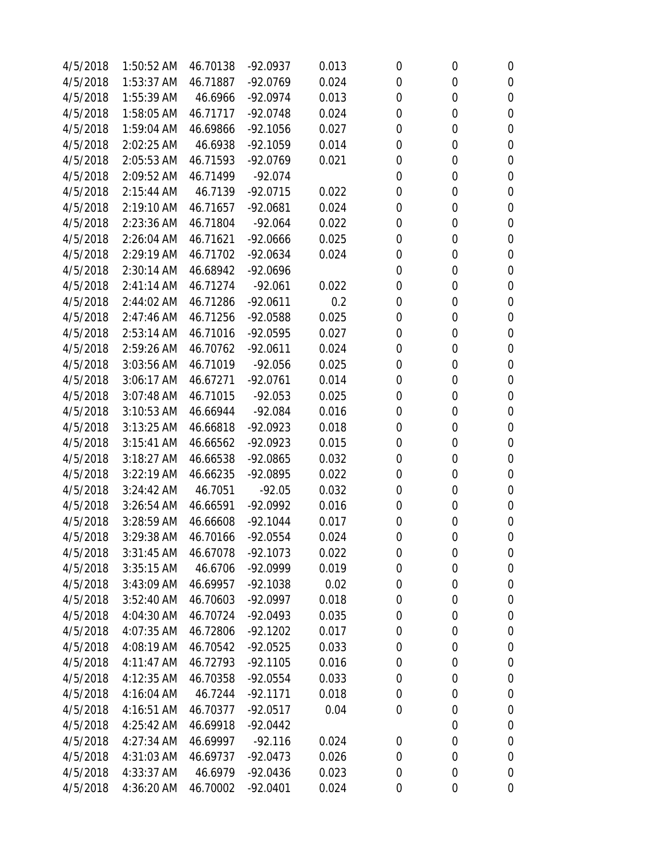| 4/5/2018 | 1:50:52 AM   | 46.70138 | $-92.0937$ | 0.013 | 0           | 0 | $\boldsymbol{0}$ |
|----------|--------------|----------|------------|-------|-------------|---|------------------|
| 4/5/2018 | 1:53:37 AM   | 46.71887 | $-92.0769$ | 0.024 | 0           | 0 | $\mathbf 0$      |
| 4/5/2018 | $1:55:39$ AM | 46.6966  | $-92.0974$ | 0.013 | $\mathbf 0$ | 0 | $\boldsymbol{0}$ |
| 4/5/2018 | 1:58:05 AM   | 46.71717 | $-92.0748$ | 0.024 | 0           | 0 | $\mathbf 0$      |
| 4/5/2018 | 1:59:04 AM   | 46.69866 | $-92.1056$ | 0.027 | 0           | 0 | $\mathbf 0$      |
| 4/5/2018 | 2:02:25 AM   | 46.6938  | $-92.1059$ | 0.014 | 0           | 0 | $\mathbf 0$      |
| 4/5/2018 | 2:05:53 AM   | 46.71593 | $-92.0769$ | 0.021 | 0           | 0 | $\boldsymbol{0}$ |
| 4/5/2018 | 2:09:52 AM   | 46.71499 | $-92.074$  |       | 0           | 0 | $\boldsymbol{0}$ |
| 4/5/2018 | 2:15:44 AM   | 46.7139  | $-92.0715$ | 0.022 | $\mathbf 0$ | 0 | $\mathbf 0$      |
| 4/5/2018 | 2:19:10 AM   | 46.71657 | $-92.0681$ | 0.024 | 0           | 0 | $\boldsymbol{0}$ |
| 4/5/2018 | 2:23:36 AM   | 46.71804 | $-92.064$  | 0.022 | 0           | 0 | $\mathbf 0$      |
| 4/5/2018 | 2:26:04 AM   | 46.71621 | $-92.0666$ | 0.025 | 0           | 0 | $\boldsymbol{0}$ |
| 4/5/2018 | 2:29:19 AM   | 46.71702 | $-92.0634$ | 0.024 | 0           | 0 | $\boldsymbol{0}$ |
| 4/5/2018 | 2:30:14 AM   | 46.68942 | $-92.0696$ |       | $\mathbf 0$ | 0 | $\mathbf 0$      |
| 4/5/2018 | 2:41:14 AM   | 46.71274 | $-92.061$  | 0.022 | 0           | 0 | 0                |
| 4/5/2018 | 2:44:02 AM   | 46.71286 | $-92.0611$ | 0.2   | $\mathbf 0$ | 0 | $\mathbf 0$      |
| 4/5/2018 | 2:47:46 AM   | 46.71256 | $-92.0588$ | 0.025 | 0           | 0 | $\boldsymbol{0}$ |
| 4/5/2018 | 2:53:14 AM   | 46.71016 | $-92.0595$ | 0.027 | 0           | 0 | $\boldsymbol{0}$ |
| 4/5/2018 | 2:59:26 AM   | 46.70762 | $-92.0611$ | 0.024 | 0           | 0 | $\boldsymbol{0}$ |
| 4/5/2018 | 3:03:56 AM   | 46.71019 | $-92.056$  | 0.025 | 0           | 0 | $\mathbf 0$      |
| 4/5/2018 | 3:06:17 AM   | 46.67271 | $-92.0761$ | 0.014 | 0           | 0 | $\mathbf 0$      |
| 4/5/2018 | 3:07:48 AM   | 46.71015 | $-92.053$  | 0.025 | 0           | 0 | $\mathbf 0$      |
| 4/5/2018 | 3:10:53 AM   | 46.66944 | $-92.084$  | 0.016 | 0           | 0 | $\mathbf 0$      |
| 4/5/2018 | $3:13:25$ AM | 46.66818 | $-92.0923$ | 0.018 | 0           | 0 | $\boldsymbol{0}$ |
| 4/5/2018 | 3:15:41 AM   | 46.66562 | $-92.0923$ | 0.015 | 0           | 0 | $\mathbf 0$      |
| 4/5/2018 | 3:18:27 AM   | 46.66538 | $-92.0865$ | 0.032 | $\mathbf 0$ | 0 | $\boldsymbol{0}$ |
| 4/5/2018 | 3:22:19 AM   | 46.66235 | $-92.0895$ | 0.022 | 0           | 0 | $\boldsymbol{0}$ |
| 4/5/2018 | 3:24:42 AM   | 46.7051  | $-92.05$   | 0.032 | $\mathbf 0$ | 0 | $\mathbf 0$      |
| 4/5/2018 | 3:26:54 AM   | 46.66591 | $-92.0992$ | 0.016 | 0           | 0 | $\boldsymbol{0}$ |
| 4/5/2018 | 3:28:59 AM   | 46.66608 | $-92.1044$ | 0.017 | 0           | 0 | $\boldsymbol{0}$ |
| 4/5/2018 | 3:29:38 AM   | 46.70166 | $-92.0554$ | 0.024 | $\mathbf 0$ | 0 | $\boldsymbol{0}$ |
| 4/5/2018 | $3:31:45$ AM | 46.67078 | $-92.1073$ | 0.022 | 0           | 0 | 0                |
| 4/5/2018 | 3:35:15 AM   | 46.6706  | $-92.0999$ | 0.019 | 0           | 0 | $\boldsymbol{0}$ |
| 4/5/2018 | 3:43:09 AM   | 46.69957 | $-92.1038$ | 0.02  | 0           | 0 | 0                |
| 4/5/2018 | 3:52:40 AM   | 46.70603 | $-92.0997$ | 0.018 | 0           | 0 | $\boldsymbol{0}$ |
| 4/5/2018 | 4:04:30 AM   | 46.70724 | $-92.0493$ | 0.035 | 0           | 0 | 0                |
| 4/5/2018 | 4:07:35 AM   | 46.72806 | $-92.1202$ | 0.017 | 0           | 0 | 0                |
| 4/5/2018 | 4:08:19 AM   | 46.70542 | $-92.0525$ | 0.033 | 0           | 0 | $\boldsymbol{0}$ |
| 4/5/2018 | 4:11:47 AM   | 46.72793 | $-92.1105$ | 0.016 | 0           | 0 | 0                |
| 4/5/2018 | 4:12:35 AM   | 46.70358 | $-92.0554$ | 0.033 | 0           | 0 | $\boldsymbol{0}$ |
| 4/5/2018 | 4:16:04 AM   | 46.7244  | $-92.1171$ | 0.018 | 0           | 0 | $\boldsymbol{0}$ |
| 4/5/2018 | 4:16:51 AM   | 46.70377 | $-92.0517$ | 0.04  | 0           | 0 | $\boldsymbol{0}$ |
| 4/5/2018 | 4:25:42 AM   | 46.69918 | $-92.0442$ |       |             | 0 | $\boldsymbol{0}$ |
| 4/5/2018 | 4:27:34 AM   | 46.69997 | $-92.116$  | 0.024 | 0           | 0 | $\boldsymbol{0}$ |
| 4/5/2018 | 4:31:03 AM   | 46.69737 | $-92.0473$ | 0.026 | $\mathbf 0$ | 0 | 0                |
| 4/5/2018 | 4:33:37 AM   | 46.6979  | $-92.0436$ | 0.023 | 0           | 0 | 0                |
| 4/5/2018 | 4:36:20 AM   | 46.70002 | $-92.0401$ | 0.024 | 0           | 0 | $\boldsymbol{0}$ |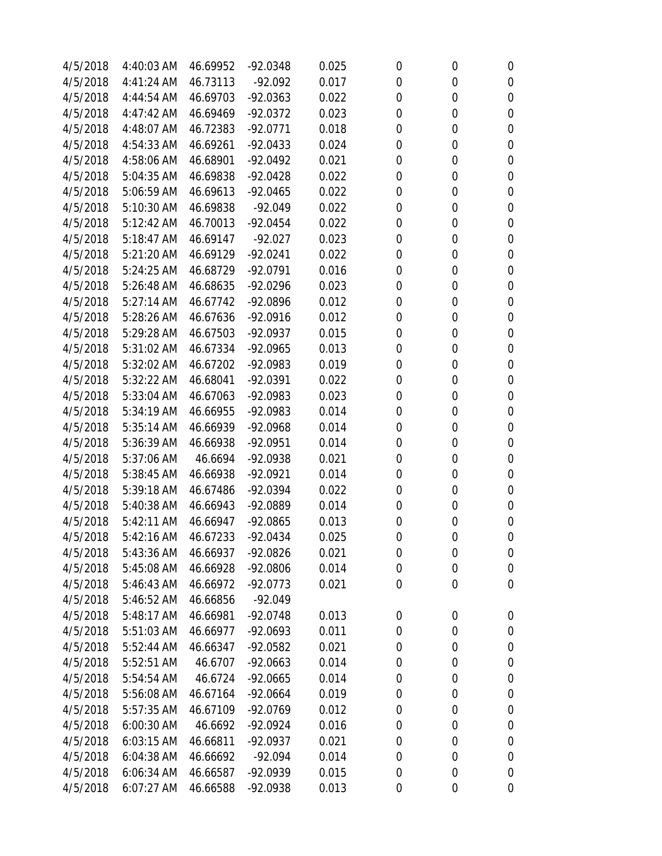| 4/5/2018 | 4:40:03 AM   | 46.69952 | $-92.0348$ | 0.025 | 0           | $\boldsymbol{0}$ | 0                |
|----------|--------------|----------|------------|-------|-------------|------------------|------------------|
| 4/5/2018 | 4:41:24 AM   | 46.73113 | $-92.092$  | 0.017 | $\mathbf 0$ | 0                | 0                |
| 4/5/2018 | 4:44:54 AM   | 46.69703 | $-92.0363$ | 0.022 | 0           | 0                | 0                |
| 4/5/2018 | $4:47:42$ AM | 46.69469 | $-92.0372$ | 0.023 | 0           | 0                | 0                |
| 4/5/2018 | 4:48:07 AM   | 46.72383 | $-92.0771$ | 0.018 | $\mathbf 0$ | 0                | 0                |
| 4/5/2018 | 4:54:33 AM   | 46.69261 | $-92.0433$ | 0.024 | 0           | 0                | $\mathbf 0$      |
| 4/5/2018 | 4:58:06 AM   | 46.68901 | $-92.0492$ | 0.021 | 0           | 0                | $\mathbf 0$      |
| 4/5/2018 | 5:04:35 AM   | 46.69838 | $-92.0428$ | 0.022 | 0           | 0                | $\mathbf 0$      |
| 4/5/2018 | 5:06:59 AM   | 46.69613 | $-92.0465$ | 0.022 | 0           | 0                | 0                |
| 4/5/2018 | 5:10:30 AM   | 46.69838 | $-92.049$  | 0.022 | 0           | 0                | 0                |
| 4/5/2018 | 5:12:42 AM   | 46.70013 | $-92.0454$ | 0.022 | 0           | 0                | $\mathbf 0$      |
| 4/5/2018 | 5:18:47 AM   | 46.69147 | $-92.027$  | 0.023 | $\mathbf 0$ | 0                | 0                |
| 4/5/2018 | 5:21:20 AM   | 46.69129 | $-92.0241$ | 0.022 | 0           | 0                | $\mathbf 0$      |
| 4/5/2018 | 5:24:25 AM   | 46.68729 | $-92.0791$ | 0.016 | 0           | 0                | $\boldsymbol{0}$ |
| 4/5/2018 | 5:26:48 AM   | 46.68635 | $-92.0296$ | 0.023 | 0           | 0                | $\mathbf 0$      |
| 4/5/2018 | 5:27:14 AM   | 46.67742 | $-92.0896$ | 0.012 | 0           | 0                | 0                |
| 4/5/2018 | 5:28:26 AM   | 46.67636 | $-92.0916$ | 0.012 | $\mathbf 0$ | 0                | 0                |
| 4/5/2018 | 5:29:28 AM   | 46.67503 | $-92.0937$ | 0.015 | 0           | 0                | $\boldsymbol{0}$ |
| 4/5/2018 | 5:31:02 AM   | 46.67334 | $-92.0965$ | 0.013 | 0           | 0                | 0                |
| 4/5/2018 | 5:32:02 AM   | 46.67202 | $-92.0983$ | 0.019 | 0           | 0                | $\mathbf 0$      |
| 4/5/2018 | 5:32:22 AM   | 46.68041 | $-92.0391$ | 0.022 | $\mathbf 0$ | 0                | $\mathbf 0$      |
| 4/5/2018 | 5:33:04 AM   | 46.67063 | $-92.0983$ | 0.023 | 0           | 0                | 0                |
| 4/5/2018 | 5:34:19 AM   | 46.66955 | $-92.0983$ | 0.014 | 0           | 0                | 0                |
| 4/5/2018 | 5:35:14 AM   | 46.66939 | $-92.0968$ | 0.014 | $\mathbf 0$ | 0                | 0                |
| 4/5/2018 | 5:36:39 AM   | 46.66938 | $-92.0951$ | 0.014 | 0           | 0                | $\mathbf 0$      |
| 4/5/2018 | 5:37:06 AM   | 46.6694  | $-92.0938$ | 0.021 | $\mathbf 0$ | 0                | $\mathbf 0$      |
| 4/5/2018 | 5:38:45 AM   | 46.66938 | $-92.0921$ | 0.014 | 0           | 0                | 0                |
| 4/5/2018 | 5:39:18 AM   | 46.67486 | $-92.0394$ | 0.022 | 0           | 0                | 0                |
| 4/5/2018 | 5:40:38 AM   | 46.66943 | -92.0889   | 0.014 | 0           | 0                | 0                |
| 4/5/2018 | 5:42:11 AM   | 46.66947 | $-92.0865$ | 0.013 | 0           | 0                | $\mathbf 0$      |
| 4/5/2018 | 5:42:16 AM   | 46.67233 | $-92.0434$ | 0.025 | $\mathbf 0$ | $\mathbf 0$      | $\mathbf 0$      |
| 4/5/2018 | 5:43:36 AM   | 46.66937 | $-92.0826$ | 0.021 | 0           | 0                | 0                |
| 4/5/2018 | 5:45:08 AM   | 46.66928 | $-92.0806$ | 0.014 | $\mathbf 0$ | $\boldsymbol{0}$ | 0                |
| 4/5/2018 | 5:46:43 AM   | 46.66972 | $-92.0773$ | 0.021 | $\mathbf 0$ | $\boldsymbol{0}$ | 0                |
| 4/5/2018 | 5:46:52 AM   | 46.66856 | $-92.049$  |       |             |                  |                  |
| 4/5/2018 | 5:48:17 AM   | 46.66981 | $-92.0748$ | 0.013 | 0           | $\boldsymbol{0}$ | $\boldsymbol{0}$ |
| 4/5/2018 | 5:51:03 AM   | 46.66977 | $-92.0693$ | 0.011 | 0           | $\boldsymbol{0}$ | 0                |
| 4/5/2018 | 5:52:44 AM   | 46.66347 | $-92.0582$ | 0.021 | 0           | $\boldsymbol{0}$ | 0                |
| 4/5/2018 | 5:52:51 AM   | 46.6707  | $-92.0663$ | 0.014 | 0           | 0                | 0                |
| 4/5/2018 | 5:54:54 AM   | 46.6724  | $-92.0665$ | 0.014 | $\mathbf 0$ | 0                | 0                |
| 4/5/2018 | 5:56:08 AM   | 46.67164 | $-92.0664$ | 0.019 | 0           | 0                | 0                |
| 4/5/2018 | 5:57:35 AM   | 46.67109 | $-92.0769$ | 0.012 | 0           | 0                | 0                |
| 4/5/2018 | 6:00:30 AM   | 46.6692  | $-92.0924$ | 0.016 | $\mathbf 0$ | $\boldsymbol{0}$ | 0                |
| 4/5/2018 | 6:03:15 AM   | 46.66811 | $-92.0937$ | 0.021 | 0           | 0                | 0                |
| 4/5/2018 | 6:04:38 AM   | 46.66692 | $-92.094$  | 0.014 | $\mathbf 0$ | $\boldsymbol{0}$ | 0                |
| 4/5/2018 | 6:06:34 AM   | 46.66587 | $-92.0939$ | 0.015 | 0           | 0                | 0                |
| 4/5/2018 | $6:07:27$ AM | 46.66588 | -92.0938   | 0.013 | 0           | $\boldsymbol{0}$ | 0                |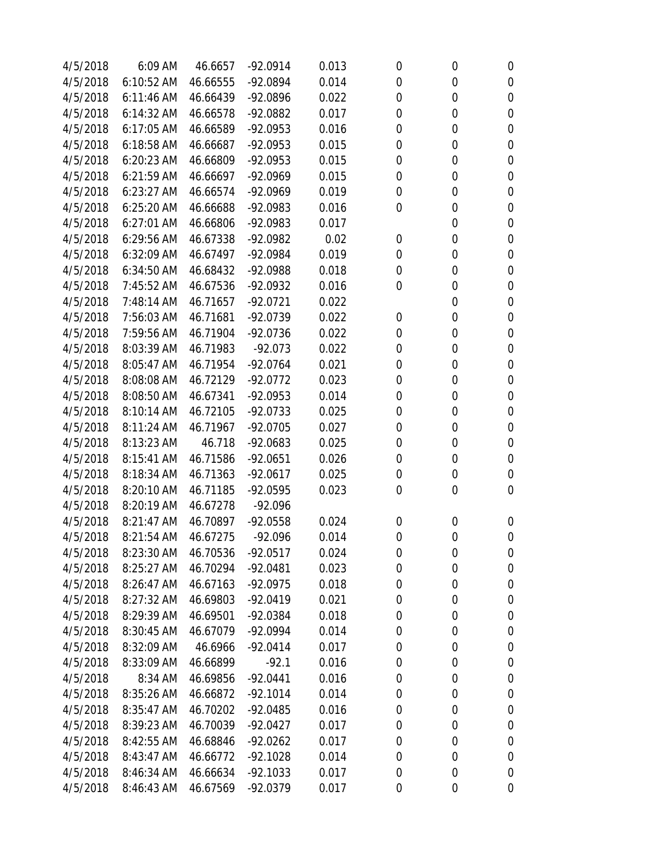| 4/5/2018 | 6:09 AM    | 46.6657  | $-92.0914$ | 0.013 | 0 | 0           | 0                |
|----------|------------|----------|------------|-------|---|-------------|------------------|
| 4/5/2018 | 6:10:52 AM | 46.66555 | $-92.0894$ | 0.014 | 0 | 0           | 0                |
| 4/5/2018 | 6:11:46 AM | 46.66439 | -92.0896   | 0.022 | 0 | 0           | 0                |
| 4/5/2018 | 6:14:32 AM | 46.66578 | $-92.0882$ | 0.017 | 0 | 0           | 0                |
| 4/5/2018 | 6:17:05 AM | 46.66589 | $-92.0953$ | 0.016 | 0 | $\mathbf 0$ | 0                |
| 4/5/2018 | 6:18:58 AM | 46.66687 | $-92.0953$ | 0.015 | 0 | 0           | 0                |
| 4/5/2018 | 6:20:23 AM | 46.66809 | $-92.0953$ | 0.015 | 0 | 0           | 0                |
| 4/5/2018 | 6:21:59 AM | 46.66697 | $-92.0969$ | 0.015 | 0 | 0           | 0                |
| 4/5/2018 | 6:23:27 AM | 46.66574 | $-92.0969$ | 0.019 | 0 | 0           | 0                |
| 4/5/2018 | 6:25:20 AM | 46.66688 | -92.0983   | 0.016 | 0 | 0           | 0                |
| 4/5/2018 | 6:27:01 AM | 46.66806 | $-92.0983$ | 0.017 |   | 0           | 0                |
| 4/5/2018 | 6:29:56 AM | 46.67338 | $-92.0982$ | 0.02  | 0 | 0           | 0                |
| 4/5/2018 | 6:32:09 AM | 46.67497 | -92.0984   | 0.019 | 0 | 0           | 0                |
| 4/5/2018 | 6:34:50 AM | 46.68432 | -92.0988   | 0.018 | 0 | 0           | 0                |
| 4/5/2018 | 7:45:52 AM | 46.67536 | -92.0932   | 0.016 | 0 | 0           | $\mathbf 0$      |
| 4/5/2018 | 7:48:14 AM | 46.71657 | $-92.0721$ | 0.022 |   | 0           | 0                |
| 4/5/2018 | 7:56:03 AM | 46.71681 | $-92.0739$ | 0.022 | 0 | 0           | 0                |
| 4/5/2018 | 7:59:56 AM | 46.71904 | $-92.0736$ | 0.022 | 0 | 0           | 0                |
| 4/5/2018 | 8:03:39 AM | 46.71983 | $-92.073$  | 0.022 | 0 | $\mathbf 0$ | 0                |
| 4/5/2018 | 8:05:47 AM | 46.71954 | $-92.0764$ | 0.021 | 0 | 0           | $\mathbf 0$      |
| 4/5/2018 | 8:08:08 AM | 46.72129 | $-92.0772$ | 0.023 | 0 | 0           | $\boldsymbol{0}$ |
| 4/5/2018 | 8:08:50 AM | 46.67341 | $-92.0953$ | 0.014 | 0 | 0           | 0                |
| 4/5/2018 | 8:10:14 AM | 46.72105 | $-92.0733$ | 0.025 | 0 | 0           | 0                |
| 4/5/2018 | 8:11:24 AM | 46.71967 | $-92.0705$ | 0.027 | 0 | 0           | 0                |
| 4/5/2018 | 8:13:23 AM | 46.718   | $-92.0683$ | 0.025 | 0 | 0           | 0                |
| 4/5/2018 | 8:15:41 AM | 46.71586 | $-92.0651$ | 0.026 | 0 | 0           | 0                |
| 4/5/2018 | 8:18:34 AM | 46.71363 | $-92.0617$ | 0.025 | 0 | 0           | $\mathbf 0$      |
| 4/5/2018 | 8:20:10 AM | 46.71185 | $-92.0595$ | 0.023 | 0 | 0           | $\mathbf 0$      |
| 4/5/2018 | 8:20:19 AM | 46.67278 | $-92.096$  |       |   |             |                  |
| 4/5/2018 | 8:21:47 AM | 46.70897 | $-92.0558$ | 0.024 | 0 | 0           | 0                |
| 4/5/2018 | 8:21:54 AM | 46.67275 | $-92.096$  | 0.014 | 0 | $\mathbf 0$ | 0                |
| 4/5/2018 | 8:23:30 AM | 46.70536 | $-92.0517$ | 0.024 | 0 | 0           | 0                |
| 4/5/2018 | 8:25:27 AM | 46.70294 | $-92.0481$ | 0.023 | 0 | 0           | 0                |
| 4/5/2018 | 8:26:47 AM | 46.67163 | $-92.0975$ | 0.018 | 0 | 0           | 0                |
| 4/5/2018 | 8:27:32 AM | 46.69803 | $-92.0419$ | 0.021 | 0 | 0           | 0                |
| 4/5/2018 | 8:29:39 AM | 46.69501 | $-92.0384$ | 0.018 | 0 | 0           | 0                |
| 4/5/2018 | 8:30:45 AM | 46.67079 | $-92.0994$ | 0.014 | 0 | 0           | 0                |
| 4/5/2018 | 8:32:09 AM | 46.6966  | $-92.0414$ | 0.017 | 0 | 0           | 0                |
| 4/5/2018 | 8:33:09 AM | 46.66899 | $-92.1$    | 0.016 | 0 | 0           | 0                |
| 4/5/2018 | 8:34 AM    | 46.69856 | $-92.0441$ | 0.016 | 0 | 0           | 0                |
| 4/5/2018 | 8:35:26 AM | 46.66872 | $-92.1014$ | 0.014 | 0 | 0           | 0                |
| 4/5/2018 | 8:35:47 AM | 46.70202 | $-92.0485$ | 0.016 | 0 | 0           | 0                |
| 4/5/2018 | 8:39:23 AM | 46.70039 | $-92.0427$ | 0.017 | 0 | 0           | 0                |
| 4/5/2018 | 8:42:55 AM | 46.68846 | $-92.0262$ | 0.017 | 0 | 0           | 0                |
| 4/5/2018 | 8:43:47 AM | 46.66772 | $-92.1028$ | 0.014 | 0 | 0           | 0                |
| 4/5/2018 | 8:46:34 AM | 46.66634 | $-92.1033$ | 0.017 | 0 | 0           | 0                |
| 4/5/2018 | 8:46:43 AM | 46.67569 | $-92.0379$ | 0.017 | 0 | 0           | 0                |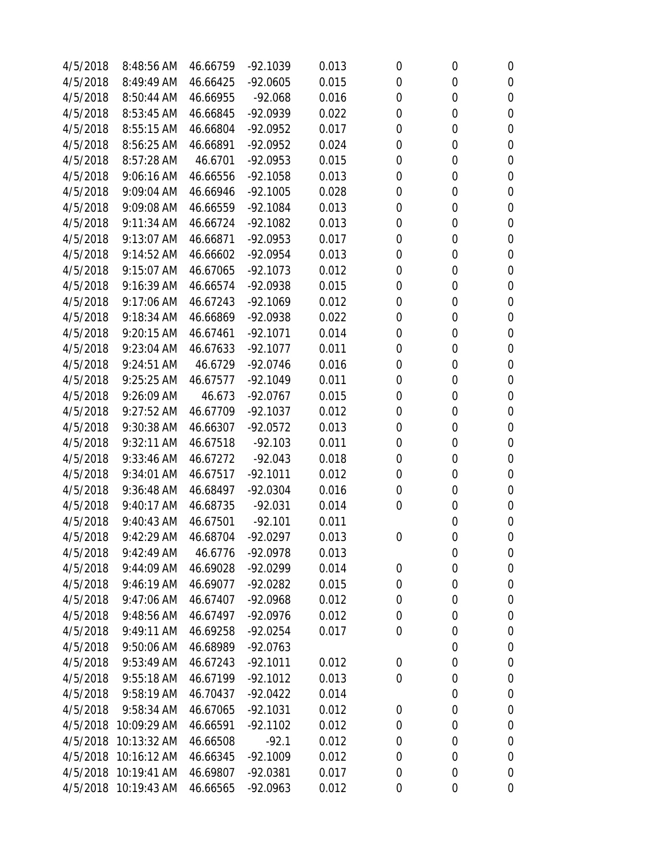| 4/5/2018 | 8:48:56 AM           | 46.66759 | $-92.1039$ | 0.013 | 0           | 0                | 0           |
|----------|----------------------|----------|------------|-------|-------------|------------------|-------------|
| 4/5/2018 | 8:49:49 AM           | 46.66425 | $-92.0605$ | 0.015 | 0           | 0                | 0           |
| 4/5/2018 | 8:50:44 AM           | 46.66955 | $-92.068$  | 0.016 | 0           | 0                | 0           |
| 4/5/2018 | 8:53:45 AM           | 46.66845 | $-92.0939$ | 0.022 | 0           | 0                | $\mathbf 0$ |
| 4/5/2018 | 8:55:15 AM           | 46.66804 | $-92.0952$ | 0.017 | 0           | 0                | 0           |
| 4/5/2018 | 8:56:25 AM           | 46.66891 | $-92.0952$ | 0.024 | 0           | 0                | $\mathbf 0$ |
| 4/5/2018 | 8:57:28 AM           | 46.6701  | $-92.0953$ | 0.015 | 0           | 0                | $\mathbf 0$ |
| 4/5/2018 | 9:06:16 AM           | 46.66556 | $-92.1058$ | 0.013 | 0           | 0                | 0           |
| 4/5/2018 | 9:09:04 AM           | 46.66946 | $-92.1005$ | 0.028 | 0           | 0                | 0           |
| 4/5/2018 | 9:09:08 AM           | 46.66559 | $-92.1084$ | 0.013 | 0           | 0                | 0           |
| 4/5/2018 | 9:11:34 AM           | 46.66724 | $-92.1082$ | 0.013 | 0           | 0                | $\mathbf 0$ |
| 4/5/2018 | 9:13:07 AM           | 46.66871 | $-92.0953$ | 0.017 | 0           | 0                | $\mathbf 0$ |
| 4/5/2018 | 9:14:52 AM           | 46.66602 | $-92.0954$ | 0.013 | 0           | 0                | $\mathbf 0$ |
| 4/5/2018 | 9:15:07 AM           | 46.67065 | $-92.1073$ | 0.012 | 0           | 0                | $\mathbf 0$ |
| 4/5/2018 | 9:16:39 AM           | 46.66574 | $-92.0938$ | 0.015 | 0           | 0                | $\mathbf 0$ |
| 4/5/2018 | 9:17:06 AM           | 46.67243 | $-92.1069$ | 0.012 | 0           | 0                | 0           |
| 4/5/2018 | 9:18:34 AM           | 46.66869 | $-92.0938$ | 0.022 | 0           | 0                | 0           |
| 4/5/2018 | 9:20:15 AM           | 46.67461 | $-92.1071$ | 0.014 | 0           | 0                | $\mathbf 0$ |
| 4/5/2018 | 9:23:04 AM           | 46.67633 | $-92.1077$ | 0.011 | 0           | 0                | 0           |
| 4/5/2018 | 9:24:51 AM           | 46.6729  | $-92.0746$ | 0.016 | 0           | 0                | $\mathbf 0$ |
| 4/5/2018 | 9:25:25 AM           | 46.67577 | $-92.1049$ | 0.011 | 0           | 0                | $\mathbf 0$ |
| 4/5/2018 | 9:26:09 AM           | 46.673   | $-92.0767$ | 0.015 | 0           | 0                | 0           |
| 4/5/2018 | 9:27:52 AM           | 46.67709 | $-92.1037$ | 0.012 | 0           | 0                | $\mathbf 0$ |
| 4/5/2018 | 9:30:38 AM           | 46.66307 | $-92.0572$ | 0.013 | 0           | 0                | 0           |
| 4/5/2018 | 9:32:11 AM           | 46.67518 | $-92.103$  | 0.011 | 0           | 0                | 0           |
| 4/5/2018 | 9:33:46 AM           | 46.67272 | $-92.043$  | 0.018 | 0           | 0                | $\mathbf 0$ |
| 4/5/2018 | 9:34:01 AM           | 46.67517 | $-92.1011$ | 0.012 | 0           | 0                | 0           |
| 4/5/2018 | 9:36:48 AM           | 46.68497 | $-92.0304$ | 0.016 | 0           | 0                | 0           |
| 4/5/2018 | 9:40:17 AM           | 46.68735 | $-92.031$  | 0.014 | 0           | 0                | 0           |
| 4/5/2018 | 9:40:43 AM           | 46.67501 | $-92.101$  | 0.011 |             | 0                | 0           |
| 4/5/2018 | 9:42:29 AM           | 46.68704 | $-92.0297$ | 0.013 | 0           | 0                | $\mathbf 0$ |
| 4/5/2018 | 9:42:49 AM           | 46.6776  | $-92.0978$ | 0.013 |             | $\boldsymbol{0}$ | 0           |
| 4/5/2018 | 9:44:09 AM           | 46.69028 | $-92.0299$ | 0.014 | 0           | 0                | 0           |
| 4/5/2018 | 9:46:19 AM           | 46.69077 | $-92.0282$ | 0.015 | 0           | 0                | 0           |
| 4/5/2018 | 9:47:06 AM           | 46.67407 | $-92.0968$ | 0.012 | 0           | 0                | 0           |
| 4/5/2018 | 9:48:56 AM           | 46.67497 | $-92.0976$ | 0.012 | 0           | 0                | 0           |
| 4/5/2018 | 9:49:11 AM           | 46.69258 | $-92.0254$ | 0.017 | 0           | 0                | 0           |
| 4/5/2018 | 9:50:06 AM           | 46.68989 | $-92.0763$ |       |             | 0                | 0           |
| 4/5/2018 | 9:53:49 AM           | 46.67243 | $-92.1011$ | 0.012 | $\mathbf 0$ | 0                | 0           |
| 4/5/2018 | 9:55:18 AM           | 46.67199 | $-92.1012$ | 0.013 | 0           | 0                | 0           |
| 4/5/2018 | 9:58:19 AM           | 46.70437 | $-92.0422$ | 0.014 |             | 0                | 0           |
| 4/5/2018 | 9:58:34 AM           | 46.67065 | $-92.1031$ | 0.012 | 0           | 0                | 0           |
| 4/5/2018 | 10:09:29 AM          | 46.66591 | $-92.1102$ | 0.012 | 0           | 0                | 0           |
| 4/5/2018 | 10:13:32 AM          | 46.66508 | $-92.1$    | 0.012 | 0           | 0                | 0           |
| 4/5/2018 | 10:16:12 AM          | 46.66345 | $-92.1009$ | 0.012 | 0           | 0                | 0           |
| 4/5/2018 | 10:19:41 AM          | 46.69807 | $-92.0381$ | 0.017 | 0           | 0                | 0           |
|          | 4/5/2018 10:19:43 AM | 46.66565 | $-92.0963$ | 0.012 | 0           | 0                | 0           |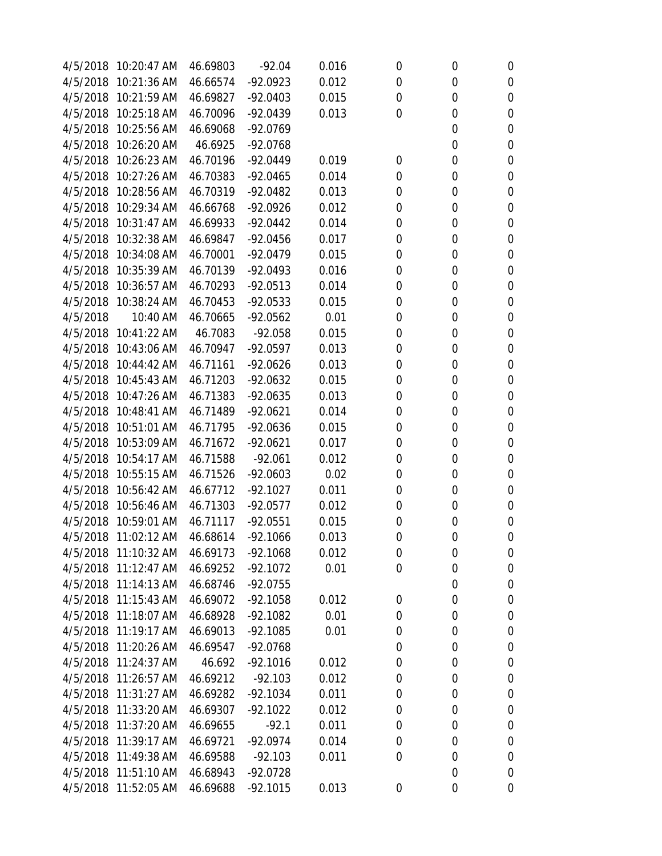| 4/5/2018 | 10:20:47 AM          | 46.69803 | $-92.04$   | 0.016 | 0           | 0 | $\boldsymbol{0}$ |
|----------|----------------------|----------|------------|-------|-------------|---|------------------|
| 4/5/2018 | 10:21:36 AM          | 46.66574 | $-92.0923$ | 0.012 | $\mathbf 0$ | 0 | $\mathbf 0$      |
| 4/5/2018 | 10:21:59 AM          | 46.69827 | $-92.0403$ | 0.015 | 0           | 0 | $\boldsymbol{0}$ |
| 4/5/2018 | 10:25:18 AM          | 46.70096 | $-92.0439$ | 0.013 | 0           | 0 | $\mathbf 0$      |
|          | 4/5/2018 10:25:56 AM | 46.69068 | $-92.0769$ |       |             | 0 | $\boldsymbol{0}$ |
| 4/5/2018 | 10:26:20 AM          | 46.6925  | $-92.0768$ |       |             | 0 | $\mathbf 0$      |
|          | 4/5/2018 10:26:23 AM | 46.70196 | $-92.0449$ | 0.019 | 0           | 0 | $\boldsymbol{0}$ |
| 4/5/2018 | 10:27:26 AM          | 46.70383 | $-92.0465$ | 0.014 | 0           | 0 | $\boldsymbol{0}$ |
| 4/5/2018 | 10:28:56 AM          | 46.70319 | $-92.0482$ | 0.013 | 0           | 0 | $\mathbf 0$      |
|          | 4/5/2018 10:29:34 AM | 46.66768 | $-92.0926$ | 0.012 | 0           | 0 | 0                |
| 4/5/2018 | 10:31:47 AM          | 46.69933 | $-92.0442$ | 0.014 | 0           | 0 | $\mathbf 0$      |
|          | 4/5/2018 10:32:38 AM | 46.69847 | $-92.0456$ | 0.017 | 0           | 0 | $\mathbf 0$      |
| 4/5/2018 | 10:34:08 AM          | 46.70001 | $-92.0479$ | 0.015 | 0           | 0 | $\boldsymbol{0}$ |
| 4/5/2018 | 10:35:39 AM          | 46.70139 | $-92.0493$ | 0.016 | 0           | 0 | $\boldsymbol{0}$ |
| 4/5/2018 | 10:36:57 AM          | 46.70293 | $-92.0513$ | 0.014 | 0           | 0 | $\mathbf 0$      |
| 4/5/2018 | 10:38:24 AM          | 46.70453 | $-92.0533$ | 0.015 | $\mathbf 0$ | 0 | $\mathbf 0$      |
| 4/5/2018 | 10:40 AM             | 46.70665 | $-92.0562$ | 0.01  | 0           | 0 | $\boldsymbol{0}$ |
| 4/5/2018 | 10:41:22 AM          | 46.7083  | $-92.058$  | 0.015 | 0           | 0 | $\mathbf 0$      |
|          | 4/5/2018 10:43:06 AM | 46.70947 | $-92.0597$ | 0.013 | 0           | 0 | $\mathbf 0$      |
| 4/5/2018 | 10:44:42 AM          | 46.71161 | $-92.0626$ | 0.013 | 0           | 0 | $\mathbf 0$      |
| 4/5/2018 | 10:45:43 AM          | 46.71203 | $-92.0632$ | 0.015 | 0           | 0 | $\boldsymbol{0}$ |
| 4/5/2018 | 10:47:26 AM          | 46.71383 | $-92.0635$ | 0.013 | 0           | 0 | $\boldsymbol{0}$ |
| 4/5/2018 | 10:48:41 AM          | 46.71489 | $-92.0621$ | 0.014 | 0           | 0 | $\mathbf 0$      |
|          | 4/5/2018 10:51:01 AM | 46.71795 | $-92.0636$ | 0.015 | 0           | 0 | $\boldsymbol{0}$ |
| 4/5/2018 | 10:53:09 AM          | 46.71672 | $-92.0621$ | 0.017 | 0           | 0 | $\mathbf 0$      |
|          | 4/5/2018 10:54:17 AM | 46.71588 | $-92.061$  | 0.012 | 0           | 0 | $\boldsymbol{0}$ |
| 4/5/2018 | 10:55:15 AM          | 46.71526 | $-92.0603$ | 0.02  | 0           | 0 | $\boldsymbol{0}$ |
| 4/5/2018 | 10:56:42 AM          | 46.67712 | $-92.1027$ | 0.011 | 0           | 0 | $\mathbf 0$      |
|          | 4/5/2018 10:56:46 AM | 46.71303 | $-92.0577$ | 0.012 | 0           | 0 | 0                |
| 4/5/2018 | 10:59:01 AM          | 46.71117 | $-92.0551$ | 0.015 | 0           | 0 | $\mathbf 0$      |
| 4/5/2018 | 11:02:12 AM          | 46.68614 | $-92.1066$ | 0.013 | $\mathbf 0$ | 0 | $\mathbf 0$      |
|          | 4/5/2018 11:10:32 AM | 46.69173 | $-92.1068$ | 0.012 | 0           | 0 | $\boldsymbol{0}$ |
|          | 4/5/2018 11:12:47 AM | 46.69252 | $-92.1072$ | 0.01  | 0           | 0 | 0                |
|          | 4/5/2018 11:14:13 AM | 46.68746 | $-92.0755$ |       |             | 0 | 0                |
|          | 4/5/2018 11:15:43 AM | 46.69072 | $-92.1058$ | 0.012 | 0           | 0 | $\boldsymbol{0}$ |
|          | 4/5/2018 11:18:07 AM | 46.68928 | $-92.1082$ | 0.01  | 0           | 0 | 0                |
|          | 4/5/2018 11:19:17 AM | 46.69013 | $-92.1085$ | 0.01  | 0           | 0 | $\boldsymbol{0}$ |
|          | 4/5/2018 11:20:26 AM | 46.69547 | $-92.0768$ |       | $\mathbf 0$ | 0 | $\boldsymbol{0}$ |
|          | 4/5/2018 11:24:37 AM | 46.692   | $-92.1016$ | 0.012 | 0           | 0 | $\boldsymbol{0}$ |
|          | 4/5/2018 11:26:57 AM | 46.69212 | $-92.103$  | 0.012 | $\mathbf 0$ | 0 | 0                |
|          | 4/5/2018 11:31:27 AM | 46.69282 | $-92.1034$ | 0.011 | 0           | 0 | 0                |
|          | 4/5/2018 11:33:20 AM | 46.69307 | $-92.1022$ | 0.012 | 0           | 0 | $\boldsymbol{0}$ |
|          | 4/5/2018 11:37:20 AM | 46.69655 | $-92.1$    | 0.011 | 0           | 0 | $\boldsymbol{0}$ |
| 4/5/2018 | 11:39:17 AM          | 46.69721 | $-92.0974$ | 0.014 | 0           | 0 | $\boldsymbol{0}$ |
|          | 4/5/2018 11:49:38 AM | 46.69588 | $-92.103$  | 0.011 | 0           | 0 | 0                |
|          | 4/5/2018 11:51:10 AM | 46.68943 | $-92.0728$ |       |             | 0 | 0                |
|          | 4/5/2018 11:52:05 AM | 46.69688 | $-92.1015$ | 0.013 | 0           | 0 | 0                |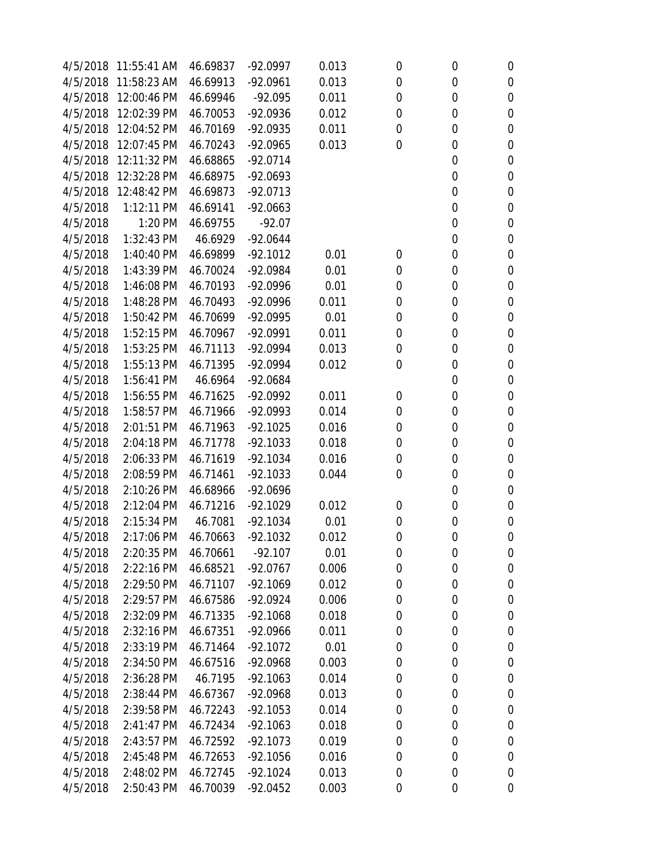| 4/5/2018 | 11:55:41 AM | 46.69837 | $-92.0997$ | 0.013 | 0              | 0           | $\boldsymbol{0}$ |
|----------|-------------|----------|------------|-------|----------------|-------------|------------------|
| 4/5/2018 | 11:58:23 AM | 46.69913 | $-92.0961$ | 0.013 | $\mathbf 0$    | 0           | $\boldsymbol{0}$ |
| 4/5/2018 | 12:00:46 PM | 46.69946 | $-92.095$  | 0.011 | 0              | 0           | $\boldsymbol{0}$ |
| 4/5/2018 | 12:02:39 PM | 46.70053 | $-92.0936$ | 0.012 | $\mathbf 0$    | 0           | $\boldsymbol{0}$ |
| 4/5/2018 | 12:04:52 PM | 46.70169 | $-92.0935$ | 0.011 | 0              | 0           | $\boldsymbol{0}$ |
| 4/5/2018 | 12:07:45 PM | 46.70243 | $-92.0965$ | 0.013 | 0              | 0           | $\mathbf 0$      |
| 4/5/2018 | 12:11:32 PM | 46.68865 | $-92.0714$ |       |                | 0           | $\mathbf 0$      |
| 4/5/2018 | 12:32:28 PM | 46.68975 | $-92.0693$ |       |                | 0           | $\mathbf 0$      |
| 4/5/2018 | 12:48:42 PM | 46.69873 | $-92.0713$ |       |                | 0           | $\boldsymbol{0}$ |
| 4/5/2018 | 1:12:11 PM  | 46.69141 | $-92.0663$ |       |                | 0           | $\boldsymbol{0}$ |
| 4/5/2018 | 1:20 PM     | 46.69755 | $-92.07$   |       |                | 0           | $\boldsymbol{0}$ |
| 4/5/2018 | 1:32:43 PM  | 46.6929  | $-92.0644$ |       |                | 0           | $\boldsymbol{0}$ |
| 4/5/2018 | 1:40:40 PM  | 46.69899 | $-92.1012$ | 0.01  | $\mathbf 0$    | 0           | $\mathbf 0$      |
| 4/5/2018 | 1:43:39 PM  | 46.70024 | $-92.0984$ | 0.01  | $\mathbf 0$    | 0           | $\boldsymbol{0}$ |
| 4/5/2018 | 1:46:08 PM  | 46.70193 | $-92.0996$ | 0.01  | 0              | 0           | $\boldsymbol{0}$ |
| 4/5/2018 | 1:48:28 PM  | 46.70493 | $-92.0996$ | 0.011 | 0              | 0           | $\boldsymbol{0}$ |
| 4/5/2018 | 1:50:42 PM  | 46.70699 | $-92.0995$ | 0.01  | 0              | 0           | $\boldsymbol{0}$ |
| 4/5/2018 | 1:52:15 PM  | 46.70967 | $-92.0991$ | 0.011 | 0              | 0           | $\boldsymbol{0}$ |
| 4/5/2018 | 1:53:25 PM  | 46.71113 | $-92.0994$ | 0.013 | 0              | 0           | $\boldsymbol{0}$ |
| 4/5/2018 | 1:55:13 PM  | 46.71395 | $-92.0994$ | 0.012 | 0              | 0           | $\mathbf 0$      |
| 4/5/2018 | 1:56:41 PM  | 46.6964  | $-92.0684$ |       |                | 0           | $\boldsymbol{0}$ |
| 4/5/2018 | 1:56:55 PM  | 46.71625 | $-92.0992$ | 0.011 | $\mathbf 0$    | 0           | $\boldsymbol{0}$ |
| 4/5/2018 | 1:58:57 PM  | 46.71966 | $-92.0993$ | 0.014 | 0              | 0           | $\boldsymbol{0}$ |
| 4/5/2018 | 2:01:51 PM  | 46.71963 | $-92.1025$ | 0.016 | 0              | 0           | $\boldsymbol{0}$ |
| 4/5/2018 | 2:04:18 PM  | 46.71778 | $-92.1033$ | 0.018 | 0              | 0           | $\mathbf 0$      |
| 4/5/2018 | 2:06:33 PM  | 46.71619 | $-92.1034$ | 0.016 | 0              | 0           | $\mathbf 0$      |
| 4/5/2018 | 2:08:59 PM  | 46.71461 | $-92.1033$ | 0.044 | 0              | 0           | $\mathbf 0$      |
| 4/5/2018 | 2:10:26 PM  | 46.68966 | $-92.0696$ |       |                | 0           | $\boldsymbol{0}$ |
| 4/5/2018 | 2:12:04 PM  | 46.71216 | $-92.1029$ | 0.012 | 0              | 0           | $\boldsymbol{0}$ |
| 4/5/2018 | 2:15:34 PM  | 46.7081  | $-92.1034$ | 0.01  | 0              | 0           | $\mathbf 0$      |
| 4/5/2018 | 2:17:06 PM  | 46.70663 | $-92.1032$ | 0.012 | $\overline{0}$ | $\mathbf 0$ | $\mathbf 0$      |
| 4/5/2018 | 2:20:35 PM  | 46.70661 | $-92.107$  | 0.01  | 0              | 0           | 0                |
| 4/5/2018 | 2:22:16 PM  | 46.68521 | $-92.0767$ | 0.006 | $\mathbf 0$    | 0           | $\mathbf 0$      |
| 4/5/2018 | 2:29:50 PM  | 46.71107 | $-92.1069$ | 0.012 | 0              | 0           | $\boldsymbol{0}$ |
| 4/5/2018 | 2:29:57 PM  | 46.67586 | $-92.0924$ | 0.006 | 0              | 0           | $\boldsymbol{0}$ |
| 4/5/2018 | 2:32:09 PM  | 46.71335 | $-92.1068$ | 0.018 | 0              | 0           | $\boldsymbol{0}$ |
| 4/5/2018 | 2:32:16 PM  | 46.67351 | $-92.0966$ | 0.011 | 0              | 0           | $\mathbf 0$      |
| 4/5/2018 | 2:33:19 PM  | 46.71464 | $-92.1072$ | 0.01  | 0              | 0           | $\boldsymbol{0}$ |
| 4/5/2018 | 2:34:50 PM  | 46.67516 | $-92.0968$ | 0.003 | 0              | 0           | $\mathbf 0$      |
| 4/5/2018 | 2:36:28 PM  | 46.7195  | $-92.1063$ | 0.014 | 0              | 0           | $\boldsymbol{0}$ |
| 4/5/2018 | 2:38:44 PM  | 46.67367 | $-92.0968$ | 0.013 | 0              | 0           | 0                |
| 4/5/2018 | 2:39:58 PM  | 46.72243 | $-92.1053$ | 0.014 | 0              | 0           | $\boldsymbol{0}$ |
| 4/5/2018 | 2:41:47 PM  | 46.72434 | $-92.1063$ | 0.018 | 0              | 0           | $\boldsymbol{0}$ |
| 4/5/2018 | 2:43:57 PM  | 46.72592 | $-92.1073$ | 0.019 | 0              | 0           | $\boldsymbol{0}$ |
| 4/5/2018 | 2:45:48 PM  | 46.72653 | $-92.1056$ | 0.016 | 0              | 0           | $\boldsymbol{0}$ |
| 4/5/2018 | 2:48:02 PM  | 46.72745 | $-92.1024$ | 0.013 | 0              | 0           | 0                |
| 4/5/2018 | 2:50:43 PM  | 46.70039 | $-92.0452$ | 0.003 | 0              | 0           | 0                |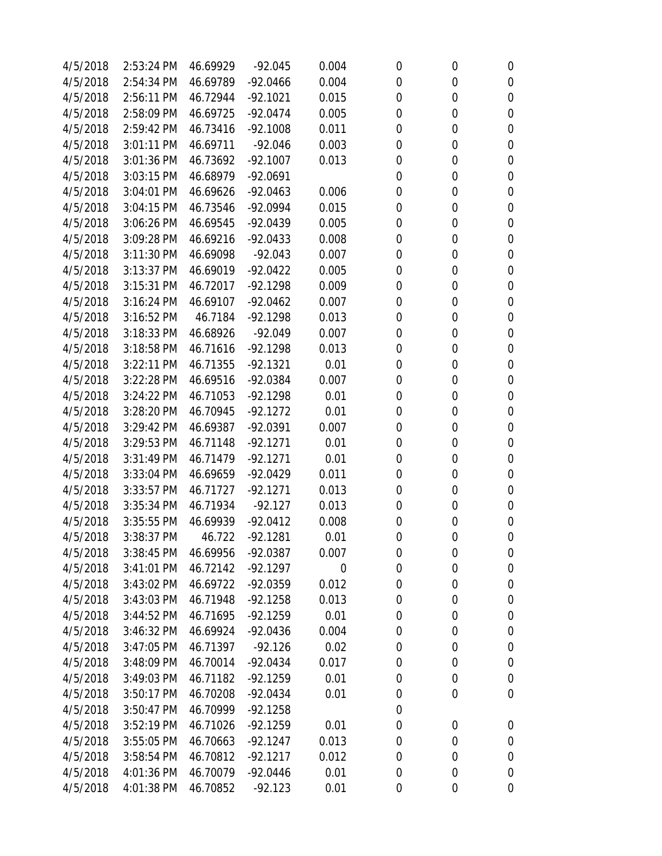| 4/5/2018 | 2:53:24 PM   | 46.69929 | $-92.045$  | 0.004       | 0              | 0                | 0                |
|----------|--------------|----------|------------|-------------|----------------|------------------|------------------|
| 4/5/2018 | 2:54:34 PM   | 46.69789 | $-92.0466$ | 0.004       | 0              | 0                | $\boldsymbol{0}$ |
| 4/5/2018 | 2:56:11 PM   | 46.72944 | $-92.1021$ | 0.015       | 0              | 0                | 0                |
| 4/5/2018 | 2:58:09 PM   | 46.69725 | $-92.0474$ | 0.005       | 0              | 0                | $\boldsymbol{0}$ |
| 4/5/2018 | 2:59:42 PM   | 46.73416 | $-92.1008$ | 0.011       | 0              | 0                | 0                |
| 4/5/2018 | 3:01:11 PM   | 46.69711 | $-92.046$  | 0.003       | 0              | 0                | $\boldsymbol{0}$ |
| 4/5/2018 | 3:01:36 PM   | 46.73692 | $-92.1007$ | 0.013       | 0              | 0                | $\boldsymbol{0}$ |
| 4/5/2018 | 3:03:15 PM   | 46.68979 | $-92.0691$ |             | 0              | 0                | $\boldsymbol{0}$ |
| 4/5/2018 | 3:04:01 PM   | 46.69626 | $-92.0463$ | 0.006       | 0              | 0                | $\boldsymbol{0}$ |
| 4/5/2018 | 3:04:15 PM   | 46.73546 | $-92.0994$ | 0.015       | 0              | 0                | $\mathbf 0$      |
| 4/5/2018 | 3:06:26 PM   | 46.69545 | $-92.0439$ | 0.005       | 0              | 0                | $\mathbf 0$      |
| 4/5/2018 | 3:09:28 PM   | 46.69216 | $-92.0433$ | 0.008       | 0              | 0                | $\boldsymbol{0}$ |
| 4/5/2018 | 3:11:30 PM   | 46.69098 | $-92.043$  | 0.007       | 0              | 0                | $\boldsymbol{0}$ |
| 4/5/2018 | 3:13:37 PM   | 46.69019 | $-92.0422$ | 0.005       | 0              | 0                | $\boldsymbol{0}$ |
| 4/5/2018 | 3:15:31 PM   | 46.72017 | $-92.1298$ | 0.009       | 0              | 0                | $\mathbf 0$      |
| 4/5/2018 | 3:16:24 PM   | 46.69107 | $-92.0462$ | 0.007       | 0              | 0                | $\boldsymbol{0}$ |
| 4/5/2018 | 3:16:52 PM   | 46.7184  | $-92.1298$ | 0.013       | 0              | 0                | $\boldsymbol{0}$ |
| 4/5/2018 | 3:18:33 PM   | 46.68926 | $-92.049$  | 0.007       | 0              | 0                | $\boldsymbol{0}$ |
| 4/5/2018 | 3:18:58 PM   | 46.71616 | $-92.1298$ | 0.013       | 0              | 0                | $\boldsymbol{0}$ |
| 4/5/2018 | 3:22:11 PM   | 46.71355 | $-92.1321$ | 0.01        | 0              | 0                | $\mathbf 0$      |
| 4/5/2018 | 3:22:28 PM   | 46.69516 | $-92.0384$ | 0.007       | 0              | 0                | $\boldsymbol{0}$ |
| 4/5/2018 | 3:24:22 PM   | 46.71053 | $-92.1298$ | 0.01        | 0              | 0                | $\boldsymbol{0}$ |
| 4/5/2018 | 3:28:20 PM   | 46.70945 | $-92.1272$ | 0.01        | 0              | 0                | $\boldsymbol{0}$ |
| 4/5/2018 | 3:29:42 PM   | 46.69387 | $-92.0391$ | 0.007       | 0              | 0                | 0                |
| 4/5/2018 | 3:29:53 PM   | 46.71148 | $-92.1271$ | 0.01        | 0              | 0                | $\boldsymbol{0}$ |
| 4/5/2018 | 3:31:49 PM   | 46.71479 | $-92.1271$ | 0.01        | 0              | 0                | $\boldsymbol{0}$ |
| 4/5/2018 | 3:33:04 PM   | 46.69659 | $-92.0429$ | 0.011       | 0              | 0                | $\boldsymbol{0}$ |
| 4/5/2018 | 3:33:57 PM   | 46.71727 | $-92.1271$ | 0.013       | 0              | 0                | $\boldsymbol{0}$ |
| 4/5/2018 | 3:35:34 PM   | 46.71934 | $-92.127$  | 0.013       | 0              | 0                | 0                |
| 4/5/2018 | 3:35:55 PM   | 46.69939 | $-92.0412$ | 0.008       | 0              | 0                | $\boldsymbol{0}$ |
| 4/5/2018 | 3:38:37 PM   | 46.722   | $-92.1281$ | 0.01        | $\overline{0}$ | $\mathbf 0$      | $\mathbf 0$      |
| 4/5/2018 | 3:38:45 PM   | 46.69956 | $-92.0387$ | 0.007       | 0              | $\boldsymbol{0}$ | 0                |
| 4/5/2018 | 3:41:01 PM   | 46.72142 | $-92.1297$ | $\mathbf 0$ | 0              | 0                | $\boldsymbol{0}$ |
| 4/5/2018 | 3:43:02 PM   | 46.69722 | $-92.0359$ | 0.012       | 0              | 0                | 0                |
| 4/5/2018 | 3:43:03 PM   | 46.71948 | $-92.1258$ | 0.013       | 0              | 0                | 0                |
| 4/5/2018 | 3:44:52 PM   | 46.71695 | $-92.1259$ | 0.01        | $\mathbf 0$    | 0                | 0                |
| 4/5/2018 | 3:46:32 PM   | 46.69924 | $-92.0436$ | 0.004       | 0              | 0                | 0                |
| 4/5/2018 | 3:47:05 PM   | 46.71397 | $-92.126$  | 0.02        | 0              | 0                | 0                |
| 4/5/2018 | 3:48:09 PM   | 46.70014 | $-92.0434$ | 0.017       | 0              | 0                | 0                |
| 4/5/2018 | 3:49:03 PM   | 46.71182 | $-92.1259$ | 0.01        | 0              | 0                | 0                |
| 4/5/2018 | 3:50:17 PM   | 46.70208 | $-92.0434$ | 0.01        | 0              | 0                | $\mathbf 0$      |
| 4/5/2018 | 3:50:47 PM   | 46.70999 | $-92.1258$ |             | 0              |                  |                  |
| 4/5/2018 | $3:52:19$ PM | 46.71026 | $-92.1259$ | 0.01        | 0              | $\boldsymbol{0}$ | 0                |
| 4/5/2018 | 3:55:05 PM   | 46.70663 | $-92.1247$ | 0.013       | 0              | 0                | 0                |
| 4/5/2018 | 3:58:54 PM   | 46.70812 | $-92.1217$ | 0.012       | 0              | 0                | 0                |
| 4/5/2018 | 4:01:36 PM   | 46.70079 | $-92.0446$ | 0.01        | 0              | 0                | 0                |
| 4/5/2018 | 4:01:38 PM   | 46.70852 | $-92.123$  | 0.01        | 0              | $\boldsymbol{0}$ | 0                |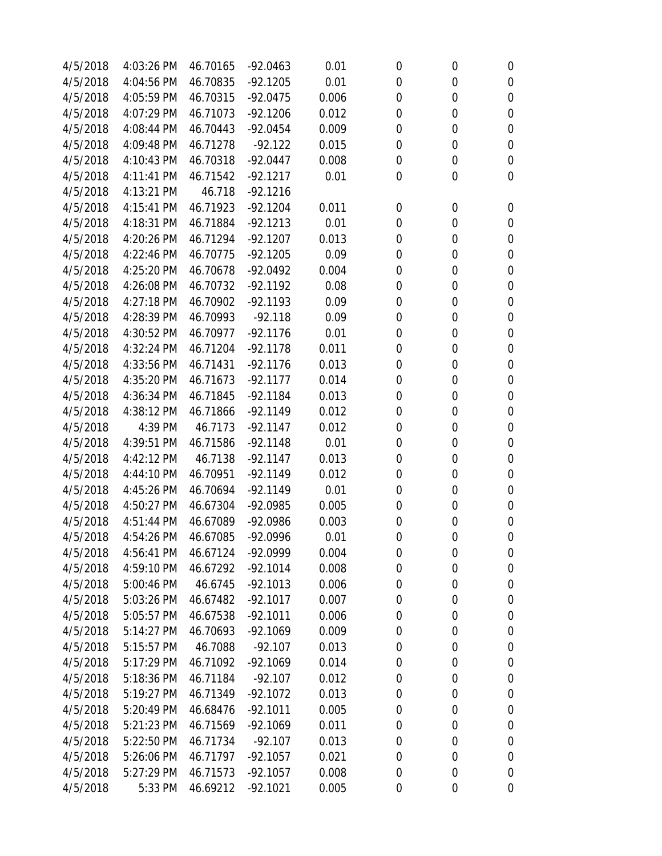| 4/5/2018 | 4:03:26 PM | 46.70165 | $-92.0463$ | 0.01  | 0           | 0           | $\boldsymbol{0}$ |
|----------|------------|----------|------------|-------|-------------|-------------|------------------|
| 4/5/2018 | 4:04:56 PM | 46.70835 | $-92.1205$ | 0.01  | $\mathbf 0$ | 0           | $\mathbf 0$      |
| 4/5/2018 | 4:05:59 PM | 46.70315 | $-92.0475$ | 0.006 | $\mathbf 0$ | 0           | $\mathbf 0$      |
| 4/5/2018 | 4:07:29 PM | 46.71073 | $-92.1206$ | 0.012 | $\mathbf 0$ | 0           | $\mathbf 0$      |
| 4/5/2018 | 4:08:44 PM | 46.70443 | $-92.0454$ | 0.009 | 0           | 0           | $\mathbf 0$      |
| 4/5/2018 | 4:09:48 PM | 46.71278 | $-92.122$  | 0.015 | 0           | 0           | $\mathbf 0$      |
| 4/5/2018 | 4:10:43 PM | 46.70318 | $-92.0447$ | 0.008 | $\mathbf 0$ | 0           | $\mathbf 0$      |
| 4/5/2018 | 4:11:41 PM | 46.71542 | $-92.1217$ | 0.01  | $\mathbf 0$ | 0           | $\mathbf 0$      |
| 4/5/2018 | 4:13:21 PM | 46.718   | $-92.1216$ |       |             |             |                  |
| 4/5/2018 | 4:15:41 PM | 46.71923 | $-92.1204$ | 0.011 | 0           | 0           | 0                |
| 4/5/2018 | 4:18:31 PM | 46.71884 | $-92.1213$ | 0.01  | $\mathbf 0$ | 0           | $\mathbf 0$      |
| 4/5/2018 | 4:20:26 PM | 46.71294 | $-92.1207$ | 0.013 | 0           | 0           | $\mathbf 0$      |
| 4/5/2018 | 4:22:46 PM | 46.70775 | $-92.1205$ | 0.09  | 0           | 0           | $\mathbf 0$      |
| 4/5/2018 | 4:25:20 PM | 46.70678 | $-92.0492$ | 0.004 | $\mathbf 0$ | 0           | $\mathbf 0$      |
| 4/5/2018 | 4:26:08 PM | 46.70732 | $-92.1192$ | 0.08  | 0           | 0           | 0                |
| 4/5/2018 | 4:27:18 PM | 46.70902 | $-92.1193$ | 0.09  | 0           | 0           | $\mathbf 0$      |
| 4/5/2018 | 4:28:39 PM | 46.70993 | $-92.118$  | 0.09  | 0           | 0           | $\mathbf 0$      |
| 4/5/2018 | 4:30:52 PM | 46.70977 | $-92.1176$ | 0.01  | 0           | 0           | $\mathbf 0$      |
| 4/5/2018 | 4:32:24 PM | 46.71204 | $-92.1178$ | 0.011 | 0           | 0           | $\boldsymbol{0}$ |
| 4/5/2018 | 4:33:56 PM | 46.71431 | $-92.1176$ | 0.013 | 0           | 0           | $\mathbf 0$      |
| 4/5/2018 | 4:35:20 PM | 46.71673 | $-92.1177$ | 0.014 | $\mathbf 0$ | 0           | $\mathbf 0$      |
| 4/5/2018 | 4:36:34 PM | 46.71845 | $-92.1184$ | 0.013 | 0           | 0           | $\boldsymbol{0}$ |
| 4/5/2018 | 4:38:12 PM | 46.71866 | $-92.1149$ | 0.012 | $\mathbf 0$ | 0           | $\mathbf 0$      |
| 4/5/2018 | 4:39 PM    | 46.7173  | $-92.1147$ | 0.012 | 0           | 0           | $\boldsymbol{0}$ |
| 4/5/2018 | 4:39:51 PM | 46.71586 | $-92.1148$ | 0.01  | 0           | 0           | $\boldsymbol{0}$ |
| 4/5/2018 | 4:42:12 PM | 46.7138  | $-92.1147$ | 0.013 | $\mathbf 0$ | 0           | $\boldsymbol{0}$ |
| 4/5/2018 | 4:44:10 PM | 46.70951 | $-92.1149$ | 0.012 | 0           | 0           | $\boldsymbol{0}$ |
| 4/5/2018 | 4:45:26 PM | 46.70694 | $-92.1149$ | 0.01  | 0           | 0           | $\boldsymbol{0}$ |
| 4/5/2018 | 4:50:27 PM | 46.67304 | $-92.0985$ | 0.005 | 0           | 0           | $\boldsymbol{0}$ |
| 4/5/2018 | 4:51:44 PM | 46.67089 | $-92.0986$ | 0.003 | 0           | 0           | $\mathbf 0$      |
| 4/5/2018 | 4:54:26 PM | 46.67085 | $-92.0996$ | 0.01  | $\mathbf 0$ | $\mathbf 0$ | $\mathbf 0$      |
| 4/5/2018 | 4:56:41 PM | 46.67124 | $-92.0999$ | 0.004 | 0           | 0           | 0                |
| 4/5/2018 | 4:59:10 PM | 46.67292 | $-92.1014$ | 0.008 | $\mathbf 0$ | 0           | $\boldsymbol{0}$ |
| 4/5/2018 | 5:00:46 PM | 46.6745  | $-92.1013$ | 0.006 | $\mathbf 0$ | 0           | 0                |
| 4/5/2018 | 5:03:26 PM | 46.67482 | $-92.1017$ | 0.007 | $\mathbf 0$ | 0           | $\boldsymbol{0}$ |
| 4/5/2018 | 5:05:57 PM | 46.67538 | $-92.1011$ | 0.006 | 0           | 0           | $\boldsymbol{0}$ |
| 4/5/2018 | 5:14:27 PM | 46.70693 | $-92.1069$ | 0.009 | 0           | 0           | $\boldsymbol{0}$ |
| 4/5/2018 | 5:15:57 PM | 46.7088  | $-92.107$  | 0.013 | 0           | 0           | $\boldsymbol{0}$ |
| 4/5/2018 | 5:17:29 PM | 46.71092 | $-92.1069$ | 0.014 | $\mathbf 0$ | 0           | $\boldsymbol{0}$ |
| 4/5/2018 | 5:18:36 PM | 46.71184 | $-92.107$  | 0.012 | 0           | 0           | $\boldsymbol{0}$ |
| 4/5/2018 | 5:19:27 PM | 46.71349 | $-92.1072$ | 0.013 | 0           | 0           | 0                |
| 4/5/2018 | 5:20:49 PM | 46.68476 | $-92.1011$ | 0.005 | 0           | 0           | $\boldsymbol{0}$ |
| 4/5/2018 | 5:21:23 PM | 46.71569 | $-92.1069$ | 0.011 | 0           | 0           | $\boldsymbol{0}$ |
| 4/5/2018 | 5:22:50 PM | 46.71734 | $-92.107$  | 0.013 | 0           | 0           | $\boldsymbol{0}$ |
| 4/5/2018 | 5:26:06 PM | 46.71797 | $-92.1057$ | 0.021 | $\mathbf 0$ | 0           | 0                |
| 4/5/2018 | 5:27:29 PM | 46.71573 | $-92.1057$ | 0.008 | 0           | 0           | 0                |
| 4/5/2018 | 5:33 PM    | 46.69212 | $-92.1021$ | 0.005 | 0           | 0           | 0                |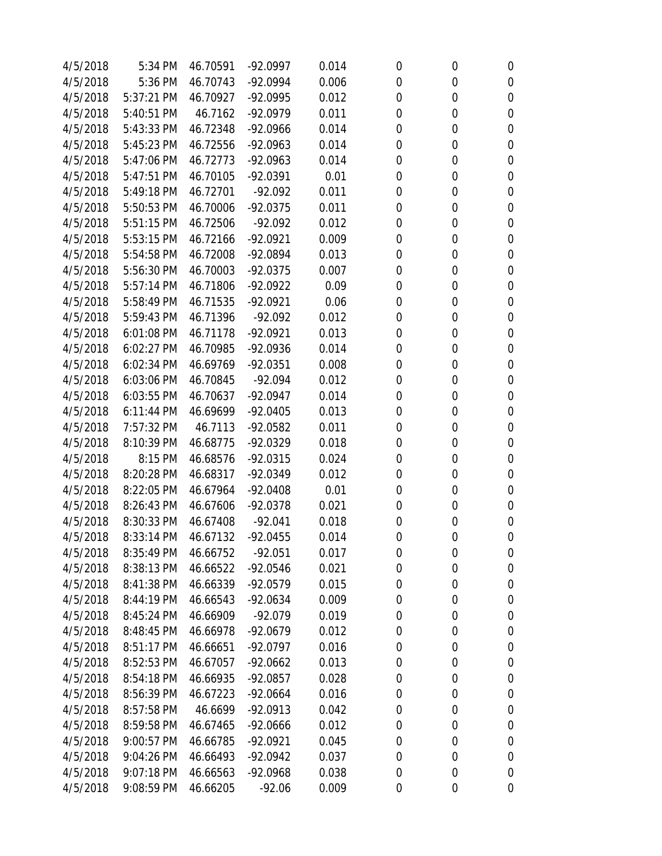| 4/5/2018 | 5:34 PM    | 46.70591 | $-92.0997$ | 0.014 | 0           | 0           | 0                |
|----------|------------|----------|------------|-------|-------------|-------------|------------------|
| 4/5/2018 | 5:36 PM    | 46.70743 | $-92.0994$ | 0.006 | $\mathbf 0$ | 0           | $\boldsymbol{0}$ |
| 4/5/2018 | 5:37:21 PM | 46.70927 | $-92.0995$ | 0.012 | 0           | 0           | $\mathbf 0$      |
| 4/5/2018 | 5:40:51 PM | 46.7162  | $-92.0979$ | 0.011 | 0           | 0           | $\boldsymbol{0}$ |
| 4/5/2018 | 5:43:33 PM | 46.72348 | $-92.0966$ | 0.014 | 0           | 0           | 0                |
| 4/5/2018 | 5:45:23 PM | 46.72556 | $-92.0963$ | 0.014 | 0           | 0           | $\boldsymbol{0}$ |
| 4/5/2018 | 5:47:06 PM | 46.72773 | $-92.0963$ | 0.014 | 0           | 0           | $\boldsymbol{0}$ |
| 4/5/2018 | 5:47:51 PM | 46.70105 | $-92.0391$ | 0.01  | 0           | 0           | $\boldsymbol{0}$ |
| 4/5/2018 | 5:49:18 PM | 46.72701 | $-92.092$  | 0.011 | 0           | 0           | $\mathbf 0$      |
| 4/5/2018 | 5:50:53 PM | 46.70006 | $-92.0375$ | 0.011 | 0           | 0           | $\mathbf 0$      |
| 4/5/2018 | 5:51:15 PM | 46.72506 | $-92.092$  | 0.012 | 0           | 0           | $\mathbf 0$      |
| 4/5/2018 | 5:53:15 PM | 46.72166 | $-92.0921$ | 0.009 | 0           | 0           | $\boldsymbol{0}$ |
| 4/5/2018 | 5:54:58 PM | 46.72008 | $-92.0894$ | 0.013 | 0           | 0           | $\mathbf 0$      |
| 4/5/2018 | 5:56:30 PM | 46.70003 | $-92.0375$ | 0.007 | $\mathbf 0$ | 0           | $\boldsymbol{0}$ |
| 4/5/2018 | 5:57:14 PM | 46.71806 | $-92.0922$ | 0.09  | 0           | 0           | $\mathbf 0$      |
| 4/5/2018 | 5:58:49 PM | 46.71535 | $-92.0921$ | 0.06  | 0           | 0           | $\boldsymbol{0}$ |
| 4/5/2018 | 5:59:43 PM | 46.71396 | $-92.092$  | 0.012 | 0           | 0           | 0                |
| 4/5/2018 | 6:01:08 PM | 46.71178 | $-92.0921$ | 0.013 | 0           | 0           | $\boldsymbol{0}$ |
| 4/5/2018 | 6:02:27 PM | 46.70985 | $-92.0936$ | 0.014 | 0           | 0           | $\boldsymbol{0}$ |
| 4/5/2018 | 6:02:34 PM | 46.69769 | $-92.0351$ | 0.008 | 0           | 0           | $\mathbf 0$      |
| 4/5/2018 | 6:03:06 PM | 46.70845 | $-92.094$  | 0.012 | $\mathbf 0$ | 0           | $\boldsymbol{0}$ |
| 4/5/2018 | 6:03:55 PM | 46.70637 | $-92.0947$ | 0.014 | $\mathbf 0$ | 0           | $\mathbf 0$      |
| 4/5/2018 | 6:11:44 PM | 46.69699 | $-92.0405$ | 0.013 | 0           | 0           | $\mathbf 0$      |
| 4/5/2018 | 7:57:32 PM | 46.7113  | $-92.0582$ | 0.011 | 0           | 0           | 0                |
| 4/5/2018 | 8:10:39 PM | 46.68775 | $-92.0329$ | 0.018 | 0           | 0           | $\mathbf 0$      |
| 4/5/2018 | 8:15 PM    | 46.68576 | $-92.0315$ | 0.024 | $\mathbf 0$ | 0           | $\mathbf 0$      |
| 4/5/2018 | 8:20:28 PM | 46.68317 | $-92.0349$ | 0.012 | 0           | 0           | $\mathbf 0$      |
| 4/5/2018 | 8:22:05 PM | 46.67964 | $-92.0408$ | 0.01  | 0           | 0           | $\mathbf 0$      |
| 4/5/2018 | 8:26:43 PM | 46.67606 | $-92.0378$ | 0.021 | 0           | 0           | 0                |
| 4/5/2018 | 8:30:33 PM | 46.67408 | $-92.041$  | 0.018 | 0           | 0           | $\mathbf 0$      |
| 4/5/2018 | 8:33:14 PM | 46.67132 | $-92.0455$ | 0.014 | $\mathbf 0$ | $\mathbf 0$ | $\mathbf 0$      |
| 4/5/2018 | 8:35:49 PM | 46.66752 | $-92.051$  | 0.017 | 0           | 0           | 0                |
| 4/5/2018 | 8:38:13 PM | 46.66522 | $-92.0546$ | 0.021 | 0           | 0           | 0                |
| 4/5/2018 | 8:41:38 PM | 46.66339 | $-92.0579$ | 0.015 | 0           | 0           | 0                |
| 4/5/2018 | 8:44:19 PM | 46.66543 | $-92.0634$ | 0.009 | 0           | 0           | 0                |
| 4/5/2018 | 8:45:24 PM | 46.66909 | $-92.079$  | 0.019 | 0           | 0           | 0                |
| 4/5/2018 | 8:48:45 PM | 46.66978 | $-92.0679$ | 0.012 | 0           | 0           | 0                |
| 4/5/2018 | 8:51:17 PM | 46.66651 | $-92.0797$ | 0.016 | 0           | 0           | 0                |
| 4/5/2018 | 8:52:53 PM | 46.67057 | $-92.0662$ | 0.013 | 0           | 0           | 0                |
| 4/5/2018 | 8:54:18 PM | 46.66935 | $-92.0857$ | 0.028 | 0           | 0           | 0                |
| 4/5/2018 | 8:56:39 PM | 46.67223 | $-92.0664$ | 0.016 | 0           | 0           | 0                |
| 4/5/2018 | 8:57:58 PM | 46.6699  | $-92.0913$ | 0.042 | 0           | 0           | 0                |
| 4/5/2018 | 8:59:58 PM | 46.67465 | $-92.0666$ | 0.012 | 0           | 0           | 0                |
| 4/5/2018 | 9:00:57 PM | 46.66785 | $-92.0921$ | 0.045 | 0           | 0           | 0                |
| 4/5/2018 | 9:04:26 PM | 46.66493 | $-92.0942$ | 0.037 | 0           | 0           | 0                |
| 4/5/2018 | 9:07:18 PM | 46.66563 | $-92.0968$ | 0.038 | 0           | 0           | 0                |
| 4/5/2018 | 9:08:59 PM | 46.66205 | $-92.06$   | 0.009 | 0           | 0           | 0                |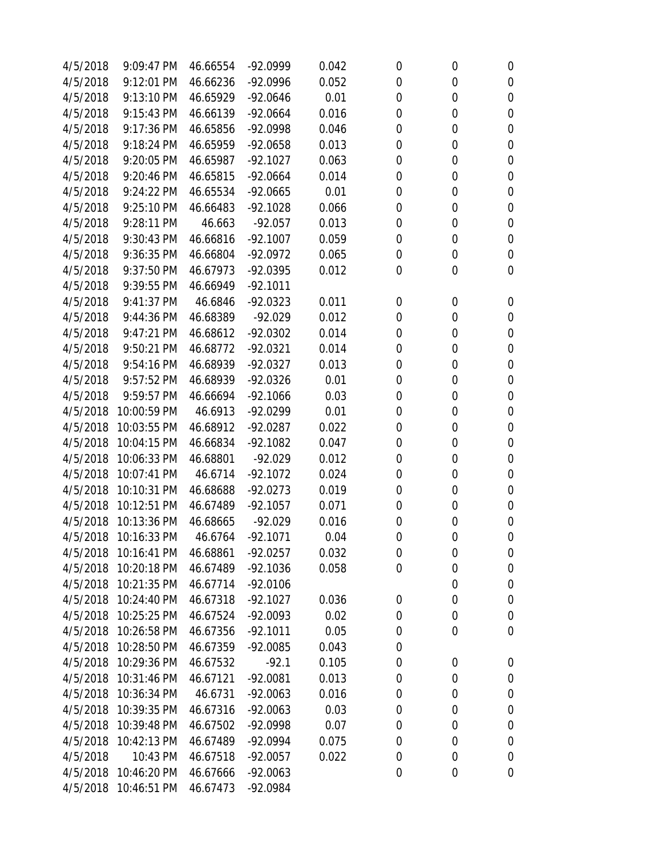| 4/5/2018 | 9:09:47 PM           | 46.66554 | $-92.0999$ | 0.042 | 0           | 0           | $\boldsymbol{0}$ |
|----------|----------------------|----------|------------|-------|-------------|-------------|------------------|
| 4/5/2018 | 9:12:01 PM           | 46.66236 | $-92.0996$ | 0.052 | $\mathbf 0$ | 0           | $\boldsymbol{0}$ |
| 4/5/2018 | 9:13:10 PM           | 46.65929 | $-92.0646$ | 0.01  | $\mathbf 0$ | 0           | $\boldsymbol{0}$ |
| 4/5/2018 | 9:15:43 PM           | 46.66139 | $-92.0664$ | 0.016 | $\mathbf 0$ | 0           | $\boldsymbol{0}$ |
| 4/5/2018 | 9:17:36 PM           | 46.65856 | $-92.0998$ | 0.046 | 0           | 0           | $\boldsymbol{0}$ |
| 4/5/2018 | 9:18:24 PM           | 46.65959 | $-92.0658$ | 0.013 | 0           | 0           | $\mathbf 0$      |
| 4/5/2018 | 9:20:05 PM           | 46.65987 | $-92.1027$ | 0.063 | $\mathbf 0$ | 0           | $\mathbf 0$      |
| 4/5/2018 | 9:20:46 PM           | 46.65815 | $-92.0664$ | 0.014 | 0           | 0           | $\mathbf 0$      |
| 4/5/2018 | 9:24:22 PM           | 46.65534 | $-92.0665$ | 0.01  | $\mathbf 0$ | 0           | $\boldsymbol{0}$ |
| 4/5/2018 | 9:25:10 PM           | 46.66483 | $-92.1028$ | 0.066 | 0           | 0           | $\boldsymbol{0}$ |
| 4/5/2018 | 9:28:11 PM           | 46.663   | $-92.057$  | 0.013 | 0           | 0           | $\boldsymbol{0}$ |
| 4/5/2018 | 9:30:43 PM           | 46.66816 | $-92.1007$ | 0.059 | 0           | 0           | $\boldsymbol{0}$ |
| 4/5/2018 | 9:36:35 PM           | 46.66804 | $-92.0972$ | 0.065 | 0           | 0           | $\mathbf 0$      |
| 4/5/2018 | 9:37:50 PM           | 46.67973 | $-92.0395$ | 0.012 | $\mathbf 0$ | 0           | $\mathbf 0$      |
| 4/5/2018 | 9:39:55 PM           | 46.66949 | $-92.1011$ |       |             |             |                  |
| 4/5/2018 | 9:41:37 PM           | 46.6846  | $-92.0323$ | 0.011 | 0           | 0           | $\boldsymbol{0}$ |
| 4/5/2018 | 9:44:36 PM           | 46.68389 | $-92.029$  | 0.012 | 0           | 0           | $\boldsymbol{0}$ |
| 4/5/2018 | 9:47:21 PM           | 46.68612 | $-92.0302$ | 0.014 | 0           | 0           | $\boldsymbol{0}$ |
| 4/5/2018 | 9:50:21 PM           | 46.68772 | $-92.0321$ | 0.014 | 0           | 0           | $\boldsymbol{0}$ |
| 4/5/2018 | 9:54:16 PM           | 46.68939 | $-92.0327$ | 0.013 | 0           | 0           | $\mathbf 0$      |
| 4/5/2018 | 9:57:52 PM           | 46.68939 | $-92.0326$ | 0.01  | $\mathbf 0$ | 0           | $\boldsymbol{0}$ |
| 4/5/2018 | 9:59:57 PM           | 46.66694 | $-92.1066$ | 0.03  | 0           | 0           | $\boldsymbol{0}$ |
| 4/5/2018 | 10:00:59 PM          | 46.6913  | $-92.0299$ | 0.01  | $\mathbf 0$ | 0           | $\boldsymbol{0}$ |
| 4/5/2018 | 10:03:55 PM          | 46.68912 | $-92.0287$ | 0.022 | 0           | 0           | $\boldsymbol{0}$ |
| 4/5/2018 | 10:04:15 PM          | 46.66834 | $-92.1082$ | 0.047 | 0           | 0           | $\boldsymbol{0}$ |
| 4/5/2018 | 10:06:33 PM          | 46.68801 | $-92.029$  | 0.012 | $\mathbf 0$ | 0           | $\mathbf 0$      |
| 4/5/2018 | 10:07:41 PM          | 46.6714  | $-92.1072$ | 0.024 | 0           | 0           | $\boldsymbol{0}$ |
| 4/5/2018 | 10:10:31 PM          | 46.68688 | $-92.0273$ | 0.019 | 0           | 0           | $\boldsymbol{0}$ |
| 4/5/2018 | 10:12:51 PM          | 46.67489 | $-92.1057$ | 0.071 | 0           | 0           | $\boldsymbol{0}$ |
| 4/5/2018 | 10:13:36 PM          | 46.68665 | $-92.029$  | 0.016 | 0           | 0           | $\boldsymbol{0}$ |
| 4/5/2018 | 10:16:33 PM          | 46.6764  | $-92.1071$ | 0.04  | $\mathbf 0$ | $\mathbf 0$ | $\mathbf 0$      |
| 4/5/2018 | 10:16:41 PM          | 46.68861 | $-92.0257$ | 0.032 | 0           | 0           | 0                |
| 4/5/2018 | 10:20:18 PM          | 46.67489 | $-92.1036$ | 0.058 | 0           | 0           | $\boldsymbol{0}$ |
| 4/5/2018 | 10:21:35 PM          | 46.67714 | $-92.0106$ |       |             | 0           | 0                |
| 4/5/2018 | 10:24:40 PM          | 46.67318 | $-92.1027$ | 0.036 | 0           | 0           | $\boldsymbol{0}$ |
|          | 4/5/2018 10:25:25 PM | 46.67524 | $-92.0093$ | 0.02  | 0           | 0           | $\boldsymbol{0}$ |
| 4/5/2018 | 10:26:58 PM          | 46.67356 | $-92.1011$ | 0.05  | 0           | 0           | $\boldsymbol{0}$ |
|          | 4/5/2018 10:28:50 PM | 46.67359 | $-92.0085$ | 0.043 | 0           |             |                  |
| 4/5/2018 | 10:29:36 PM          | 46.67532 | $-92.1$    | 0.105 | 0           | 0           | $\boldsymbol{0}$ |
| 4/5/2018 | 10:31:46 PM          | 46.67121 | $-92.0081$ | 0.013 | 0           | 0           | $\boldsymbol{0}$ |
| 4/5/2018 | 10:36:34 PM          | 46.6731  | $-92.0063$ | 0.016 | 0           | 0           | 0                |
| 4/5/2018 | 10:39:35 PM          | 46.67316 | $-92.0063$ | 0.03  | 0           | 0           | $\boldsymbol{0}$ |
|          | 4/5/2018 10:39:48 PM | 46.67502 | -92.0998   | 0.07  | 0           | 0           | $\boldsymbol{0}$ |
| 4/5/2018 | 10:42:13 PM          | 46.67489 | $-92.0994$ | 0.075 | 0           | 0           | $\boldsymbol{0}$ |
| 4/5/2018 | 10:43 PM             | 46.67518 | $-92.0057$ | 0.022 | $\mathbf 0$ | 0           | 0                |
| 4/5/2018 | 10:46:20 PM          | 46.67666 | $-92.0063$ |       | $\mathbf 0$ | 0           | $\mathbf 0$      |
|          | 4/5/2018 10:46:51 PM | 46.67473 | $-92.0984$ |       |             |             |                  |